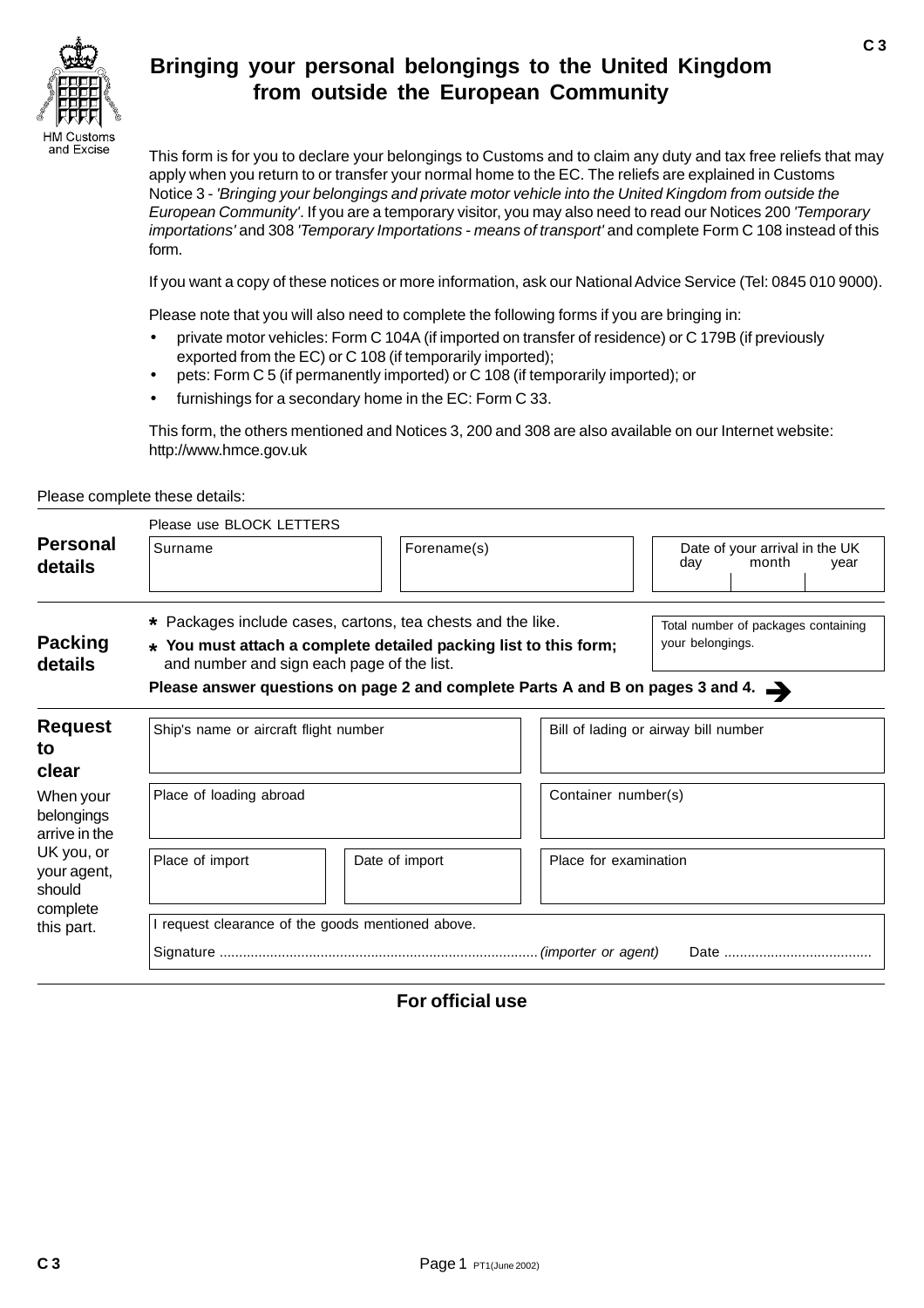

# **Bringing your personal belongings to the United Kingdom from outside the European Community**

This form is for you to declare your belongings to Customs and to claim any duty and tax free reliefs that may apply when you return to or transfer your normal home to the EC. The reliefs are explained in Customs Notice 3 - 'Bringing your belongings and private motor vehicle into the United Kingdom from outside the European Community'. If you are a temporary visitor, you may also need to read our Notices 200 'Temporary importations' and 308 'Temporary Importations - means of transport' and complete Form C 108 instead of this form.

If you want a copy of these notices or more information, ask our National Advice Service (Tel: 0845 010 9000).

Please note that you will also need to complete the following forms if you are bringing in:

- private motor vehicles: Form C 104A (if imported on transfer of residence) or C 179B (if previously exported from the EC) or C 108 (if temporarily imported);
- pets: Form C 5 (if permanently imported) or C 108 (if temporarily imported); or
- furnishings for a secondary home in the EC: Form C 33.

This form, the others mentioned and Notices 3, 200 and 308 are also available on our Internet website: http://www.hmce.gov.uk

Please complete these details:

|                                                                                                           | Please use BLOCK LETTERS                                                                                       |                                                             |                                      |                                                        |  |  |  |
|-----------------------------------------------------------------------------------------------------------|----------------------------------------------------------------------------------------------------------------|-------------------------------------------------------------|--------------------------------------|--------------------------------------------------------|--|--|--|
| <b>Personal</b><br>details                                                                                | Surname                                                                                                        | Forename(s)                                                 |                                      | Date of your arrival in the UK<br>day<br>month<br>year |  |  |  |
|                                                                                                           |                                                                                                                | * Packages include cases, cartons, tea chests and the like. |                                      | Total number of packages containing                    |  |  |  |
| <b>Packing</b><br>details                                                                                 | * You must attach a complete detailed packing list to this form;<br>and number and sign each page of the list. | your belongings.                                            |                                      |                                                        |  |  |  |
|                                                                                                           | Please answer questions on page 2 and complete Parts A and B on pages 3 and 4.                                 |                                                             |                                      |                                                        |  |  |  |
| <b>Request</b><br>to<br>clear                                                                             | Ship's name or aircraft flight number                                                                          |                                                             | Bill of lading or airway bill number |                                                        |  |  |  |
| When your<br>belongings<br>arrive in the<br>UK you, or<br>your agent,<br>should<br>complete<br>this part. | Place of loading abroad                                                                                        |                                                             | Container number(s)                  |                                                        |  |  |  |
|                                                                                                           | Place of import                                                                                                | Date of import                                              | Place for examination                |                                                        |  |  |  |
|                                                                                                           | I request clearance of the goods mentioned above.                                                              |                                                             |                                      |                                                        |  |  |  |
|                                                                                                           |                                                                                                                |                                                             |                                      |                                                        |  |  |  |

# **For official use**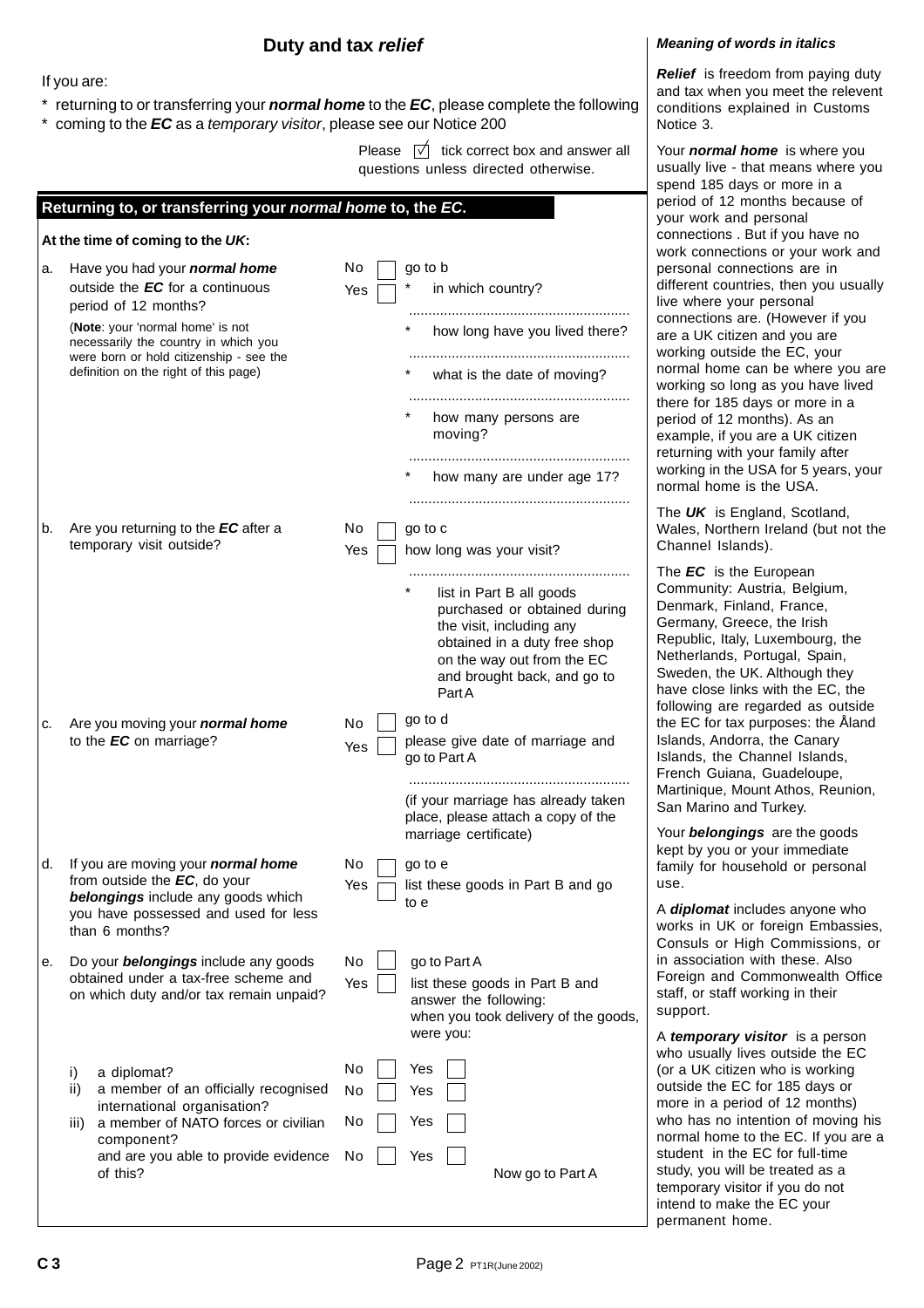## **Duty and tax relief**

### If you are:

- \* returning to or transferring your **normal home** to the **EC**, please complete the following
- coming to the **EC** as a temporary visitor, please see our Notice 200

Please  $\overrightarrow{v}$  tick correct box and answer all questions unless directed otherwise.

|    | Returning to, or transferring your normal home to, the EC.                                                                                                                                                                                                      |                                                                                                                                                                                                                                                |  |
|----|-----------------------------------------------------------------------------------------------------------------------------------------------------------------------------------------------------------------------------------------------------------------|------------------------------------------------------------------------------------------------------------------------------------------------------------------------------------------------------------------------------------------------|--|
|    | At the time of coming to the UK:                                                                                                                                                                                                                                |                                                                                                                                                                                                                                                |  |
| a. | Have you had your <i>normal home</i><br>outside the EC for a continuous<br>period of 12 months?<br>(Note: your 'normal home' is not<br>necessarily the country in which you<br>were born or hold citizenship - see the<br>definition on the right of this page) | No<br>go to b<br>in which country?<br>Yes<br>how long have you lived there?<br>what is the date of moving?<br>how many persons are                                                                                                             |  |
|    |                                                                                                                                                                                                                                                                 | moving?<br>how many are under age 17?                                                                                                                                                                                                          |  |
| b. | Are you returning to the EC after a<br>temporary visit outside?                                                                                                                                                                                                 | No<br>go to c<br>how long was your visit?<br>Yes<br>list in Part B all goods<br>purchased or obtained during<br>the visit, including any<br>obtained in a duty free shop<br>on the way out from the EC<br>and brought back, and go to<br>PartA |  |
| c. | Are you moving your <b>normal home</b><br>to the EC on marriage?                                                                                                                                                                                                | go to d<br>No<br>please give date of marriage and<br>Yes<br>go to Part A<br>(if your marriage has already taken<br>place, please attach a copy of the<br>marriage certificate)                                                                 |  |
| d. | If you are moving your <i>normal</i> home<br>from outside the EC, do your<br>belongings include any goods which<br>you have possessed and used for less<br>than 6 months?                                                                                       | No<br>go to e<br>Yes<br>list these goods in Part B and go<br>to e                                                                                                                                                                              |  |
| е. | Do your <b>belongings</b> include any goods<br>obtained under a tax-free scheme and<br>on which duty and/or tax remain unpaid?                                                                                                                                  | No<br>go to Part A<br>Yes<br>list these goods in Part B and<br>answer the following:<br>when you took delivery of the goods,<br>were you:                                                                                                      |  |
|    | a diplomat?<br>i)<br>a member of an officially recognised<br>ii)<br>international organisation?<br>a member of NATO forces or civilian<br>iii)<br>component?<br>and are you able to provide evidence<br>of this?                                                | No<br>Yes<br>No<br>Yes<br>No<br>Yes<br>Yes<br>No<br>Now go to Part A                                                                                                                                                                           |  |
|    |                                                                                                                                                                                                                                                                 |                                                                                                                                                                                                                                                |  |

#### **Meaning of words in italics**

**Relief** is freedom from paying duty and tax when you meet the relevent conditions explained in Customs Notice 3.

Your **normal home** is where you usually live - that means where you spend 185 days or more in a period of 12 months because of your work and personal connections . But if you have no work connections or your work and personal connections are in different countries, then you usually live where your personal connections are. (However if you are a UK citizen and you are working outside the EC, your normal home can be where you are working so long as you have lived there for 185 days or more in a period of 12 months). As an example, if you are a UK citizen returning with your family after working in the USA for 5 years, your normal home is the USA.

The **UK** is England, Scotland, Wales, Northern Ireland (but not the Channel Islands).

The **EC** is the European Community: Austria, Belgium, Denmark, Finland, France, Germany, Greece, the Irish Republic, Italy, Luxembourg, the Netherlands, Portugal, Spain, Sweden, the UK. Although they have close links with the EC, the following are regarded as outside the EC for tax purposes: the Åland Islands, Andorra, the Canary Islands, the Channel Islands, French Guiana, Guadeloupe, Martinique, Mount Athos, Reunion, San Marino and Turkey.

Your **belongings** are the goods kept by you or your immediate family for household or personal use.

A **diplomat** includes anyone who works in UK or foreign Embassies, Consuls or High Commissions, or in association with these. Also Foreign and Commonwealth Office staff, or staff working in their support.

A **temporary visitor** is a person who usually lives outside the EC (or a UK citizen who is working outside the EC for 185 days or more in a period of 12 months) who has no intention of moving his normal home to the EC. If you are a student in the EC for full-time study, you will be treated as a temporary visitor if you do not intend to make the EC your permanent home.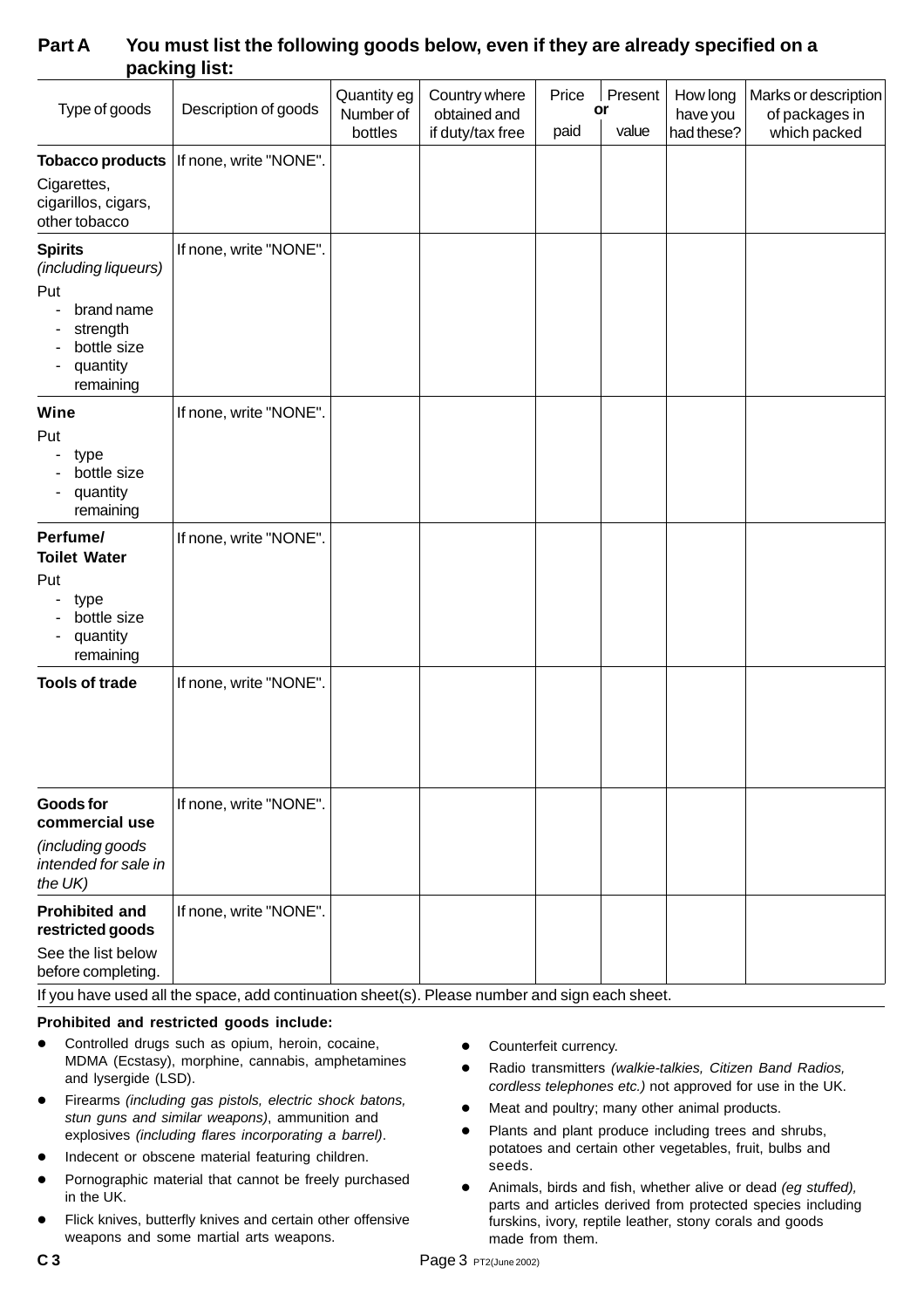| Type of goods                                                                                                   | Description of goods                      | Quantity eg<br>Number of<br>bottles | Country where<br>obtained and<br>if duty/tax free | Price<br>paid | Present<br>or<br>value | How long<br>have you<br>had these? | Marks or description<br>of packages in<br>which packed |
|-----------------------------------------------------------------------------------------------------------------|-------------------------------------------|-------------------------------------|---------------------------------------------------|---------------|------------------------|------------------------------------|--------------------------------------------------------|
| Cigarettes,<br>cigarillos, cigars,<br>other tobacco                                                             | Tobacco products   If none, write "NONE". |                                     |                                                   |               |                        |                                    |                                                        |
| <b>Spirits</b><br>(including liqueurs)<br>Put<br>brand name<br>strength<br>bottle size<br>quantity<br>remaining | If none, write "NONE".                    |                                     |                                                   |               |                        |                                    |                                                        |
| Wine<br>Put<br>type<br>bottle size<br>quantity<br>remaining                                                     | If none, write "NONE".                    |                                     |                                                   |               |                        |                                    |                                                        |
| Perfume/<br><b>Toilet Water</b><br>Put<br>type<br>bottle size<br>quantity<br>remaining                          | If none, write "NONE".                    |                                     |                                                   |               |                        |                                    |                                                        |
| <b>Tools of trade</b>                                                                                           | If none, write "NONE".                    |                                     |                                                   |               |                        |                                    |                                                        |
| <b>Goods for</b><br>commercial use<br>(including goods<br>intended for sale in<br>the UK)                       | If none, write "NONE".                    |                                     |                                                   |               |                        |                                    |                                                        |
| <b>Prohibited and</b><br>restricted goods<br>See the list below<br>before completing.                           | If none, write "NONE".                    |                                     |                                                   |               |                        |                                    |                                                        |

# **Part A You must list the following goods below, even if they are already specified on a packing list:**

If you have used all the space, add continuation sheet(s). Please number and sign each sheet.

### **Prohibited and restricted goods include:**

- Controlled drugs such as opium, heroin, cocaine, MDMA (Ecstasy), morphine, cannabis, amphetamines and lysergide (LSD).
- Firearms (including gas pistols, electric shock batons, stun guns and similar weapons), ammunition and explosives (including flares incorporating a barrel).
- Indecent or obscene material featuring children.
- **•** Pornographic material that cannot be freely purchased in the UK.
- Flick knives, butterfly knives and certain other offensive weapons and some martial arts weapons.
- **•** Counterfeit currency.
- Radio transmitters (walkie-talkies, Citizen Band Radios, cordless telephones etc.) not approved for use in the UK.
- Meat and poultry; many other animal products.
- Plants and plant produce including trees and shrubs, potatoes and certain other vegetables, fruit, bulbs and seeds.
- Animals, birds and fish, whether alive or dead (eg stuffed), parts and articles derived from protected species including furskins, ivory, reptile leather, stony corals and goods made from them.